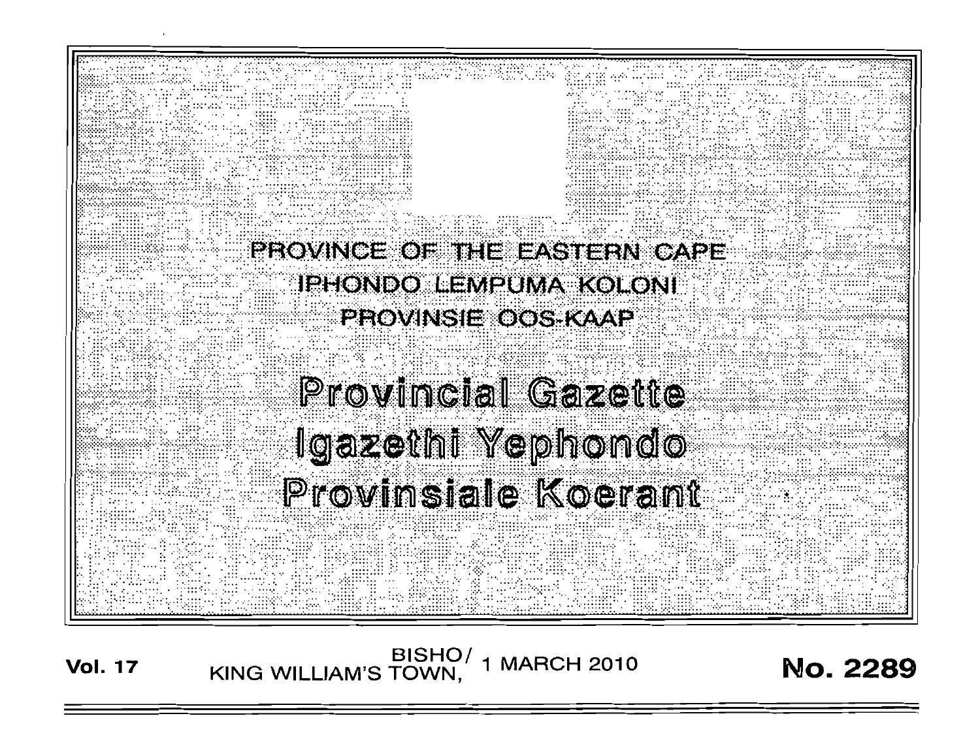

BISHO/ 1 MARCH 2010<br>KING WILLIAM'S TOWN, 1 MARCH 2010 **Vol. 17** 

**No. 2289**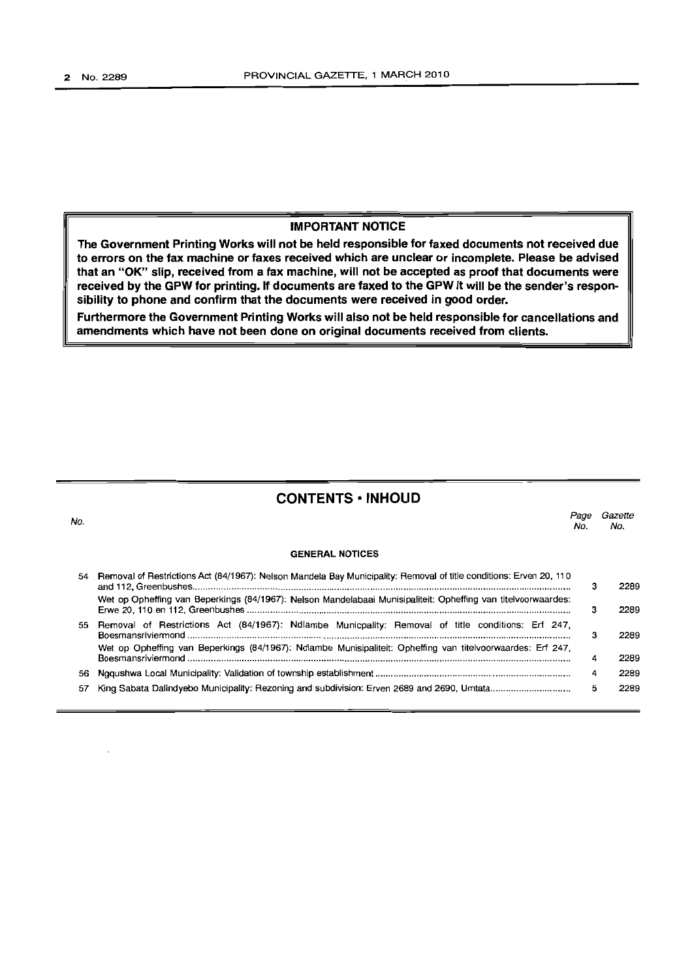### **IMPORTANT NOTICE**

**The Government Printing Works will not be held responsible for faxed documents not received due to errors on the fax machine or faxes received which are unclear or incomplete. Please be advised that an "OK" slip, received from a fax machine, will not be accepted as proof that documents were received by the GPW for printing. If documents are faxed to the GPW it will be the sender's responsibility to phone and confirm that the documents were received in good order.**

**Furthermore the Government Printing Works will also not be held responsible for cancellations and amendments which have not been done on original documents received from clients.**

## **CONTENTS -INHOUD**

No. **GENERAL NOTICES** *Page Gazette* No. No. 54 Removal of Restrictions Act (84/1967): Nelson Mandela Bay Municipality: Removal of title conditions: Erven 20, 110 and 112, Greenbushes '" . Wet op Opheffing van Beperkings (84/1967): Nelson Mandelabaai Munisipaliteit: Opheffing van titelvoorwaardes: Erwe 20,110 en 112, Greenbushes .. 55 Removal of Restrictions Act (84/1967): Ndlambe Municpality: Removal of title conditions: Erf 247, Boesmansriviermond . Wet op Opheffing van Beperkings (84/1967): Ndlambe Munisipaliteit: Opheffing van titelvoorwaardes: Erf 247, Boesmansriviermond . 56 Ngqushwa Local Municipality: Validation of township establishment.. . 57 King Sabata Dalindyebo Municipality: Rezoning and subdivision: Erven 2689 and 2690, Umtata .. 3 3 3 4 4 5 2289 2289 2289 2289 2289 2289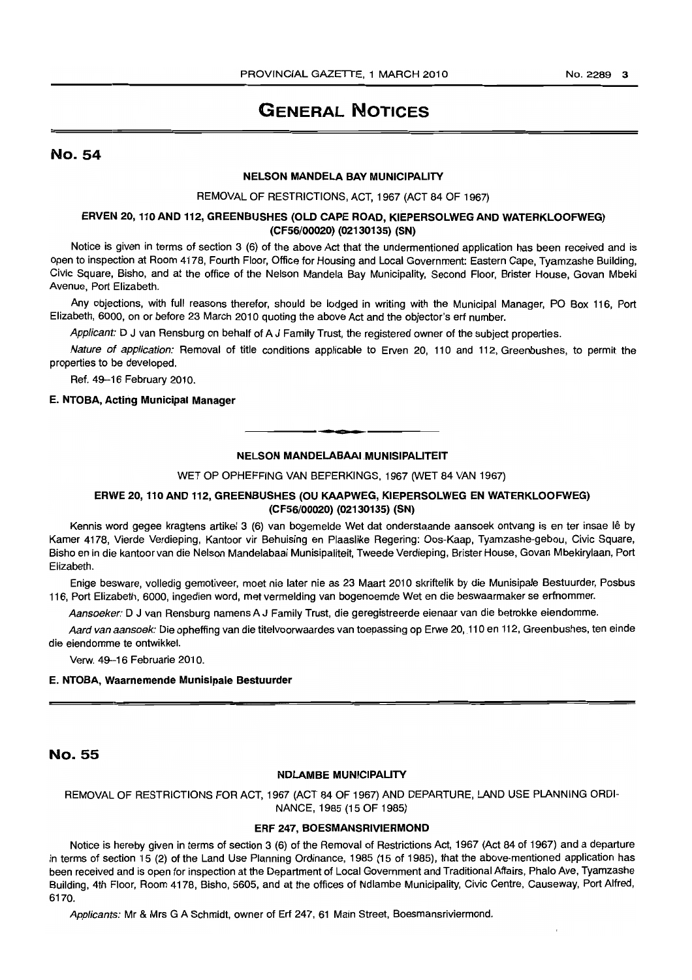# **GENERAL NOTICES**

## No. 54

## NELSON MANDELA BAY MUNICIPALITY

#### REMOVAL OF RESTRICTIONS, ACT, 1967 (ACT 84 OF 1967)

#### ERVEN 20, 110 AND 112, GREENBUSHES (OLD CAPE ROAD, KIEPERSOLWEG AND WATERKLOOFWEG) (CF56/00020) (02130135) (SN)

Notice is given in terms of section 3 (6) of the above Act that the undermentioned application has been received and is open to inspection at Room 4178, Fourth Floor, Office for Housing and Local Government: Eastern Cape, Tyamzashe Building, Civic Square, Bisho, and at the office of the Nelson Mandela Bay Municipality, Second Floor, Brister House, Govan Mbeki Avenue, Port Elizabeth.

Any objections, with full reasons therefor, should be lodged in writing with the Municipal Manager, PO Box 116, Port Elizabeth, 6000, on or before 23 March 2010 quoting the above Act and the objector's erf number.

Applicant: D J van Rensburg on behalf of A J Family Trust, the registered owner of the subject properties.

Nature of application: Removal of title conditions applicable to Erven 20, 110 and 112, Greenbushes, to permit the properties to be developed.

Ref. 49-16 February 2010.

#### E. NTOBA, Acting Municipal Manager

#### NELSON MANDELABAAI MUNISIPALITEIT

**• CI**

WET OP OPHEFFING VAN BEPERKINGS, 1967 (WET 84 VAN 1967)

## ERWE 20, 110 AND 112, GREENBUSHES (OU KAAPWEG, KIEPERSOLWEG EN WATERKLOOFWEG) (CF56/00020) (02130135) (SN)

Kennis word gegee kragtens artikel 3 (6) van bogemelde Wet dat onderstaande aansoek ontvang is en ter insae lê by Kamer 4178, Vierde Verdieping, Kantoor vir Behuising en Plaaslike Regering: Oos-Kaap, Tyamzashe-gebou, Civic Square, Bisho en in die kantoor van die Nelson Mandelabaai Munisipaliteit, Tweede Verdieping, Brister House, Govan Mbekirylaan, Port Elizabeth.

Enige besware, volledig gemotiveer, moet nie later nie as 23 Maart 2010 skriftelik by die Munisipale Bestuurder, Posbus 116, Port Elizabeth, 6000, ingedien word, met vermelding van bogenoemde Wet en die beswaarmaker se erfnommer.

Aansoeker: D J van Rensburg namens A J Family Trust, die geregistreerde eienaar van die betrokke eiendomme.

Aard van aansoek: Die opheffing van die titelvoorwaardes van toepassing op Erwe 20, 110 en 112, Greenbushes, ten einde die eiendomme te ontwikkel.

Verw. 49-16 Februarie 2010.

#### E. NTOBA, Waarnemende Munisipale Bestuurder

No. 55

#### NDLAMBE MUNICIPALITY

REMOVAL OF RESTRICTIONS FOR ACT, 1967 (ACT 84 OF 1967) AND DEPARTURE, LAND USE PLANNING ORDI-NANCE, 1985 (15 OF 1985)

#### ERF 247, BOESMANSRIVIERMOND

Notice is hereby given in terms of section 3 (6) of the Removal of Restrictions Act, 1967 (Act 84 of 1967) and a departure in terms of section 15 (2) of the Land Use Planning Ordinance, 1985 (15 of 1985), that the above-mentioned application has been received and is open for inspection at the Department of Local Government and Traditional Affairs, Phalo Ave, Tyamzashe Building, 4th Floor, Room 4178, Bisho, 5605, and at the offices of Ndlambe Municipality, Civic Centre, Causeway, Port Alfred, 6170.

Applicants: Mr & Mrs G A Schmidt, owner of Erf 247, 61 Main Street, Boesmansriviermond.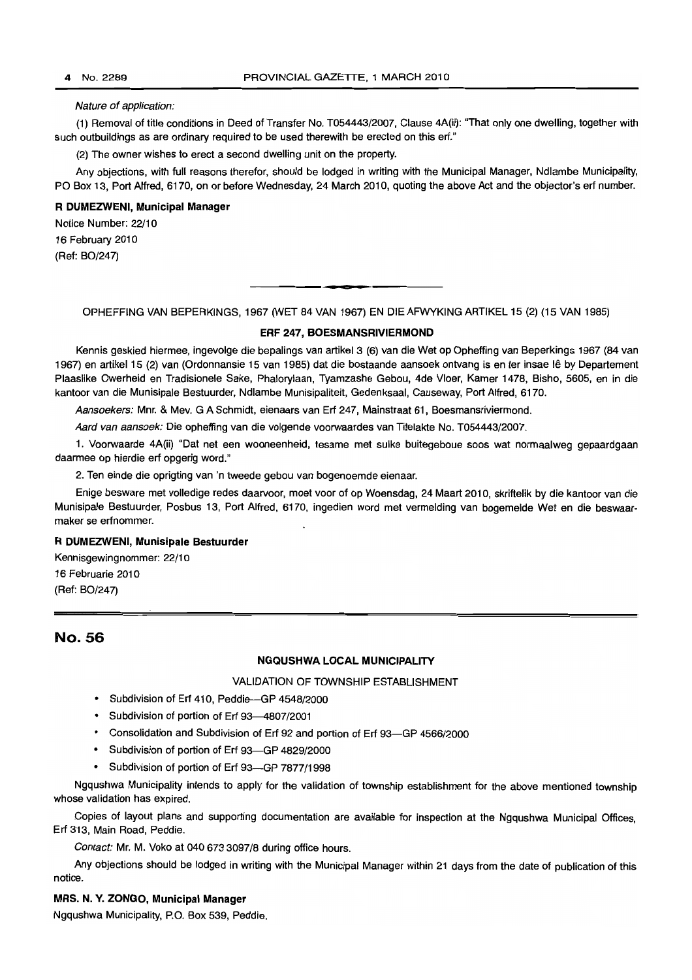#### Nature of application:

(1) Removal of title conditions in Deed of Transfer No. T054443/2007, Clause 4A(ii): "That only one dwelling, together with such outbuildings as are ordinary required to be used therewith be erected on this erf."

(2) The owner wishes to erect a second dwelling unit on the property.

Any objections, with full reasons therefor, should be lodged in writing with the Municipal Manager, Ndlambe Municipality, PO Box 13, Port Alfred, 6170, on or before Wednesday, 24 March 2010, quoting the above Act and the objector's erf number.

#### **R DUMEZWENI, Municipal Manager**

Notice Number: 22/10 16 February 2010

(Ref: BO/247)

OPHEFFING VAN BEPERKINGS, 1967 (WET 84 VAN 1967) EN DIE AFWYKING ARTIKEL 15 (2) (15 VAN 1985)

#### **ERF 247, BOESMANSRIVIERMOND**

Kennis geskied hiermee, ingevolge die bepalings van artikel 3 (6) van die Wet op Opheffing van Beperkings 1967 (84 van 1967) en artikel 15 (2) van (Ordonnansie 15 van 1985) dat die bostaande aansoek ontvang is en ter insae Ie by Departement Plaaslike Owerheid en Tradisionele Sake, Phalorylaan, Tyamzashe Gebou, 4de Vloer, Kamer 1478, Bisho, 5605, en in die kantoor van die Munisipale Bestuurder, Ndlambe Munisipaliteit, Gedenksaal, Causeway, Port Alfred, 6170.

Aansoekers: Mnr. & Mev. G A Schmidt, eienaars van Erf 247, Mainstraat 61, Boesmansriviermond.

Aard van aansoek: Die opheffing van die volgende voorwaardes van Titelakte No. T054443/2007.

1. Voorwaarde 4A(ii) "Oat net een wooneenheid, tesame met sulke buitegeboue soos wat normaalweg gepaardgaan daarmee op hierdie erf opgerig word."

2. Ten einde die oprigting van 'n tweede gebou van bogenoemde eienaar.

Enige besware met volledige redes daarvoor, moet voor of op Woensdag, 24 Maart 2010, skriftelik by die kantoor van die Munisipale Bestuurder, Posbus 13, Port Alfred, 6170, ingedien word met vermelding van bogemelde Wet en die beswaarmaker se erfnommer.

#### **R DUMEZWENI, Munisipale Bestuurder**

Kennisgewingnommer: 22/10 16 Februarie 2010 (Ref: BO/247)

## No. 56

#### **NGQUSHWA LOCAL MUNICIPALITY**

VALIDATION OF TOWNSHIP ESTABLISHMENT

- Subdivision of Erf 410, Peddie-GP 4548/2000
- Subdivision of portion of Erf 93--4807/2001
- Consolidation and Subdivision of Erf 92 and portion of Erf 93-GP 4566/2000
- Subdivision of portion of Erf 93-GP 4829/2000
- Subdivision of portion of Erf 93-GP 7877/1998

Ngqushwa Municipality intends to apply for the validation of township establishment for the above mentioned township whose validation has expired.

Copies of layout plans and supporting documentation are available for inspection at the Ngqushwa Municipal Offices, Erf 313, Main Road, Peddie.

Contact: Mr. M. Voko at 0406733097/8 during office hours.

Any objections should be lodged in writing with the Municipal Manager within 21 days from the date of publication of this notice.

#### **MRS. N. Y. ZONGO, Municipal Manager**

Ngqushwa Municipality, P.O. Box 539, Peddie.